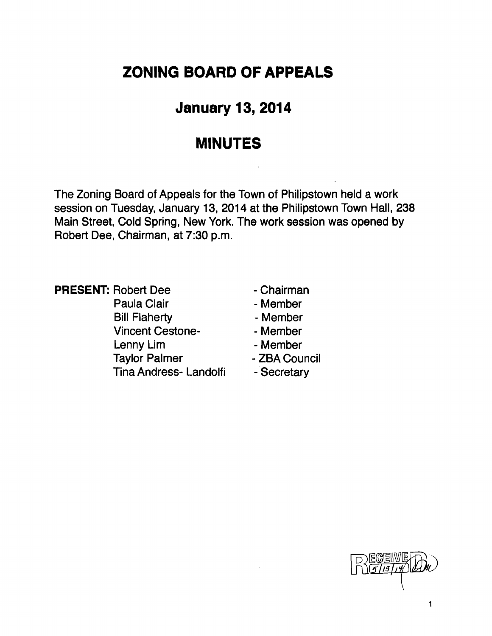# **ZONING BOARD OF APPEALS**

# **January 13, 2014**

## **MINUTES**

The Zoning Board of Appeals for the Town of Philipstown held a work session on Tuesday, January 13, 2014 at the Philipstown Town Hall, 238 Main Street, Cold Spring, New York. The work session was opened by Robert Dee, Chairman, at 7:30 p.m.

**PRESENT: Robert Dee - Chairman** Paula Clair **- Member** Bill Flaherty **- Member** Vincent Cestone<br>
- Member Lenny Lim The Member Taylor Palmer - ZBA Council Tina Andress- Landolfi - Secretary

- 
- 
- 
- 
- 
- 
- 

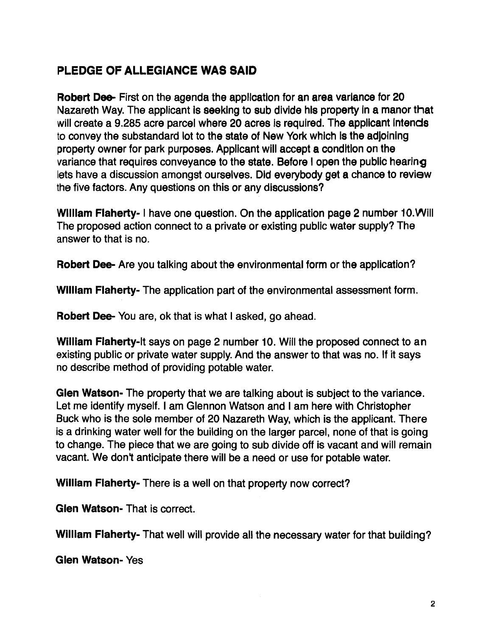### PLEDGE OF ALLEGIANCE WAS SAID

Robert Dee- First on the agenda the application for an area variance for 20 Nazareth Way. The applicant is seeking to sub divide his property in a manor that will create a 9.285 acre parcel where 20 acres is required. The applicant intends to convey the substandard lot to the state of New York which Is the adjoining property owner for park purposes. Applicant will accept a condition on the variance that requires conveyance to the state. Before I open the public hearing lets have a discussion amongst ourselves. Did everybody get a chance to review the five factors. Any questions on this or any discussions?

William Flaherty- I have one question. On the application page 2 number 10. Will The proposed action connect to a private or existing public water supply? The answer to that is no.

Robert Dee- Are you talking about the environmental form or the application?

William Flaherty- The application part of the environmental assessment form.

Robert Dee- You are, ok that is what I asked, go ahead.

William Flaherty-It says on page 2 number 10. Will the proposed connect to an existing public or private water supply. And the answer to that was no. If it says no describe method of providing potable water.

Glen Watson- The property that we are talking about is subject to the variance. Let me identity myself. I am Glennon Watson and I am here with Christopher Buck who is the sole member of 20 Nazareth Way, which is the applicant. There is a drinking water well for the building on the larger parcel, none of that is going to change. The piece that we are going to sub divide off is vacant and will remain vacant. We don't anticipate there will be a need or use for potable water.

William Flaherty- There is a well on that property now correct?

Glen Watson- That is correct.

William Flaherty- That well will provide all the necessary water for that building?

Glen Watson- Yes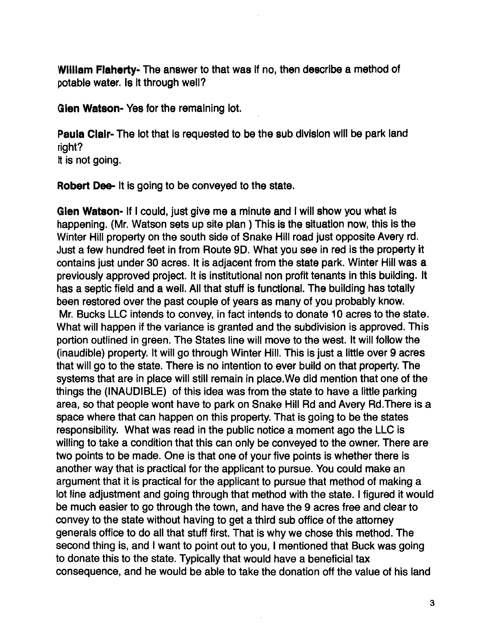William Flaherty- The answer to that was if no, then describe a method of potable water. Is it through well?

Glen Watson- Yes for the remaining lot.

Paula Clair- The lot that is requested to be the sub division will be park land right? It is not going.

Robert Dee- It is going to be conveyed to the state.

Glen Watson- If I could, just give me a minute and I will show you what is happening. (Mr. Watson sets up site plan) This is the situation now, this is the Winter Hill property on the south side of Snake Hili road just opposite Avery rd. Just a few hundred feet in from Route 90. What you see in red is the property it contains just under 30 acres. It is adjacent from the state park. Winter Hill was a previously approved project. It is institutional non profit tenants in this building. It has a septic field and a well. All that stuff is functional. The building has totally been restored over the past couple of years as many of you probably know. Mr. Bucks LLC intends to convey, in fact intends to donate 10 acres to the state. What will happen if the variance is granted and the subdivision is approved. This portion outlined in green. The States line will move to the west. It will follow the (inaudible) property. It will go through Winter Hill. This is just a little over 9 acres that will go to the state. There is no intention to ever build on that property. The systems that are in place will still remain in place.We did mention that one of the things the (INAUDIBLE) of this idea was from the state to have a little parking area, so that people wont have to park on Snake Hill Rd and Avery Rd.There is a space where that can happen on this property. That is going to be the states responsibility. What was read in the public notice a moment ago the LLC is willing to take a condition that this can only be conveyed to the owner. There are two points to be made. One is that one of your five points is whether there is another way that is practical for the applicant to pursue. You could make an argument that it is practical for the applicant to pursue that method of making a lot line adjustment and going through that method with the state. I figured it would be much easier to go through the town, and have the 9 acres free and clear to convey to the state without having to get a third sub office of the attorney generals office to do all that stuff first. That is why we chose this method. The second thing is, and I want to point out to you, I mentioned that Buck was going to donate this to the state. Typically that would have a beneficial tax consequence, and he would be able to take the donation off the value of his land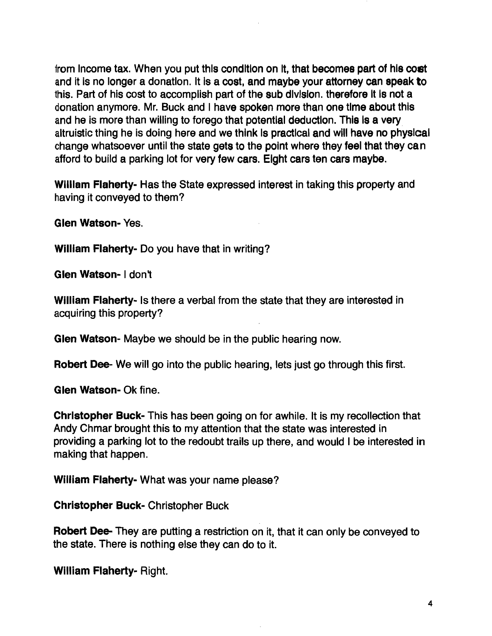from Income tax. When you put this condition on It, that becomes part of his cost and it is no longer a donation. It is a cost, and maybe your attorney can speak to this. Part of his cost to accomplish part of the sub division. therefore It Is not a donation anymore. Mr. Buck and I have spoken more than one time about this and he is more than willing to forego that potential deduction. This is a very altruistic thing he is doing here and we think Is practical and will have no physical change whatsoever until the state gets to the point where they feel that they ca n afford to build a parking lot for very few cars. Eight cars ten cars maybe.

WIlliam Flaherty- Has the State expressed interest in taking this property and having it conveyed to them?

Glen Watson- Yes.

William Flaherty- Do you have that in writing?

Glen Watson- I don't

William Flaherty- Is there a verbal from the state that they are interested in acquiring this property?

Glen Watson- Maybe we should be in the public hearing now.

Robert Dee- We will go into the public hearing, lets just go through this first.

Glen Watson- Ok fine.

Christopher Buck- This has been going on for awhile. It is my recollection that Andy Chmar brought this to my attention that the state was interested in providing a parking lot to the redoubt trails up there, and would I be interested in making that happen.

William Flaherty- What was your name please?

Christopher Buck- Christopher Buck

Robert Dee-They are putting a restriction on it, that it can only be conveyed to the state. There is nothing else they can do to it.

William Flaherty- Right.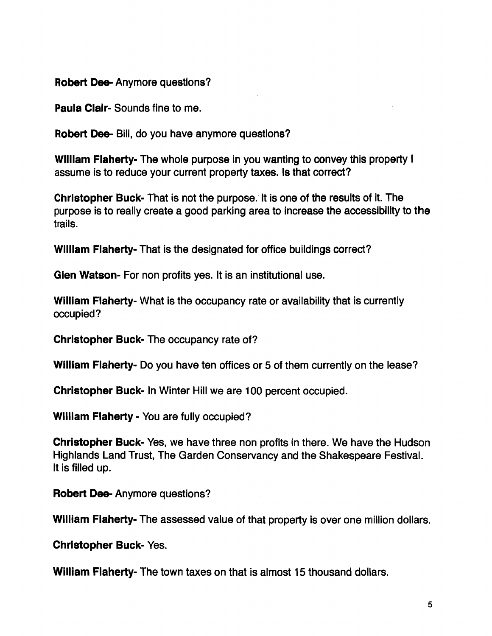Robert Dee- Anymore questions?

Paula Clair- Sounds fine to me.

Robert Dee- Bill, do you have anymore questions?

William Flaherty- The whole purpose in you wanting to convey this property I assume is to reduce your current property taxes. Is that correct?

Christopher Buck- That is not the purpose. It is one of the results of it. The purpose is to really create a good parking area to increase the accessibility to the trails.

William Flaherty- That is the designated for office buildings correct?

Glen Watson- For non profits yes. It is an institutional use.

William Flaherty- What is the occupancy rate or availability that is currently occupied?

Christopher Buck- The occupancy rate of?

WIlliam Flaherty- Do you have ten offices or 5 of them currently on the lease?

Christopher Buck- In Winter Hill we are 100 percent occupied.

William Flaherty - You are fully occupied?

Christopher Buck- Yes, we have three non profits in there. We have the Hudson Highlands Land Trust, The Garden Conservancy and the Shakespeare Festival. It is filled up.

Robert Dee- Anymore questions?

William Flaherty- The assessed value of that property is over one million dollars.

Christopher Buck- Yes.

William Flaherty- The town taxes on that is almost 15 thousand dollars.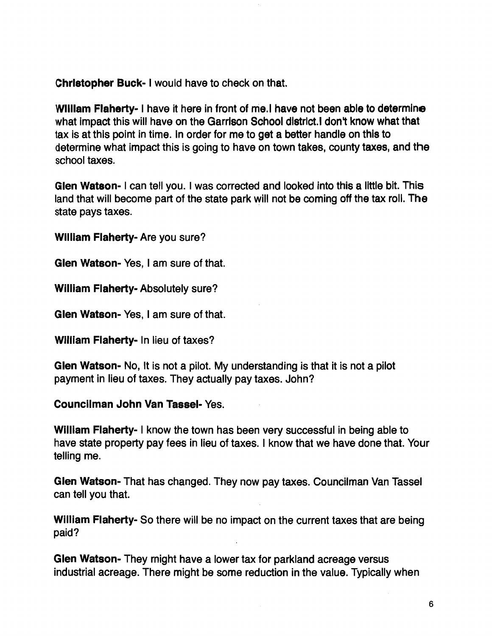Christopher Buck- I would have to check on that.

William Flaherty- I have it here in front of me.I have not been able to determine what impact this will have on the Garrison School district. I don't know what that tax is at this point in time. In order for me to get a better handle on this to determine what impact this is going to have on town takes, county taxes, and the school taxes.

Glen Watson- I can tell you. I was corrected and looked into this a little bit. This land that will become part of the state park will not be coming off the tax roll. The state pays taxes.

WIlliam Flaherty- Are you sure?

Glen Watson- Yes, I am sure of that.

William Flaherty- Absolutely sure?

Glen Watson- Yes, I am sure of that.

William Flaherty- In lieu of taxes?

Glen Watson- No, It is not a pilot. My understanding is that it is not a pilot payment in lieu of taxes. They actually pay taxes. John?

Councilman John Van Tassel- Yes.

William Flaherty- I know the town has been very successful in being able to have state property pay fees in lieu of taxes. I know that we have done that. Your telling me.

Glen Watson- That has changed. They now pay taxes. Councilman Van Tassel can tell you that.

William Flaherty- So there will be no impact on the current taxes that are being paid?

Glen Watson- They might have a lower tax for parkland acreage versus industrial acreage. There might be some reduction in the value. Typically when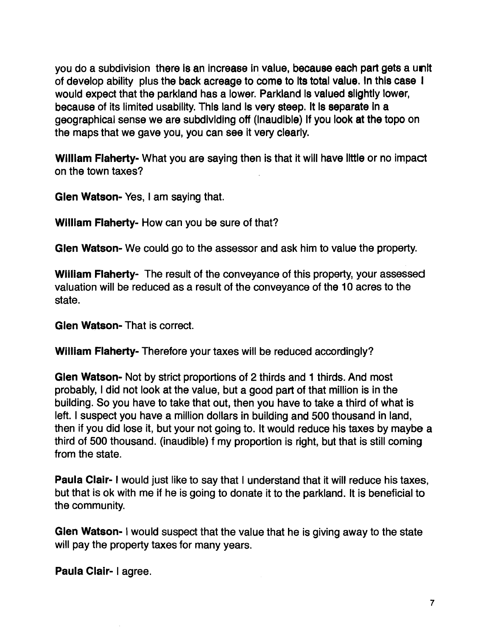you do a subdivision there is an increase in value, because each part gets a unit of develop ability plus the back acreage to come to Its total value. In this case I would expect that the parkland has a lower. Parkland Is valued slightly lower, because of its limited usability. This land Is very steep. It Is separate In a geographical sense we are subdividing off (inaudible) If you look at the topo on the maps that we gave you, you can see it very clearly.

William Flaherty- What you are saying then is that it will have little or no impact on the town taxes?

Glen Watson- Yes, I am saying that.

William Flaherty- How can you be sure of that?

Glen Watson- We could go to the assessor and ask him to value the property.

William Flaherty- The result of the conveyance of this property, your assessed valuation will be reduced as a result of the conveyance of the 10 acres to the state.

Glen Watson- That is correct.

William Flaherty- Therefore your taxes will be reduced accordingly?

Glen Watson- Not by strict proportions of 2 thirds and 1 thirds. And most probably, I did not look at the value, but a good part of that million is in the building. So you have to take that out, then you have to take a third of what is left. I suspect you have a million dollars in building and 500 thousand in land, then if you did lose it, but your not going to. It would reduce his taxes by maybe a third of 500 thousand. (inaudible) f my proportion is right, but that is still coming from the state.

Paula Clair- I would just like to say that I understand that it will reduce his taxes, but that is ok with me if he is going to donate it to the parkland. It is beneficial to the community.

Glen Watson- I would suspect that the value that he is giving away to the state will pay the property taxes for many years.

Paula Clair- I agree.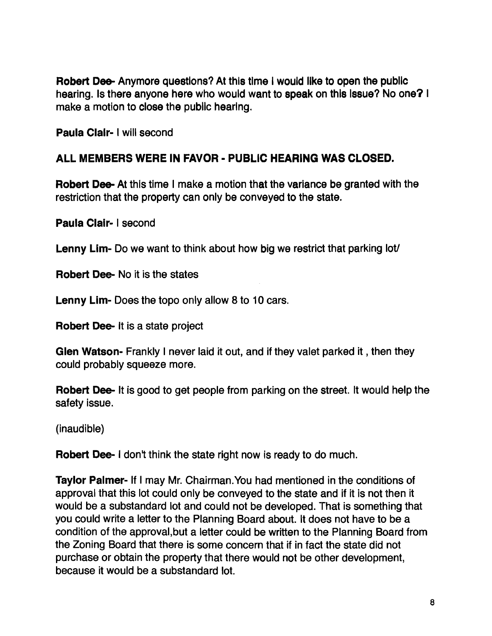Robert Dee- Anymore questions? At this time I would like to open the public hearing. Is there anyone here who would want to speak on this Issue? No one? I make a motion to close the public hearing.

Paula Clalr- I will second

#### ALL MEMBERS WERE IN FAVOR - PUBLIC HEARING WAS CLOSED.

Robert Dee- At this time I make a motion that the variance be granted with the restriction that the property can only be conveyed to the state.

Paula Clair- I second

Lenny Lim- Do we want to think about how big we restrict that parking lot

Robert Dee- No it is the states

Lenny Lim- Does the topo only allow 8 to 10 cars.

Robert Dee- It is a state project

Glen Watson- Frankly I never laid it out, and if they valet parked it , then they could probably squeeze more.

Robert Dee- It is good to get people from parking on the street. It would help the safety issue.

(inaudible)

Robert Dee- I don't think the state right now is ready to do much.

Taylor Palmer- If I may Mr. Chairman.You had mentioned in the conditions of approval that this lot could only be conveyed to the state and if it is not then it would be a substandard lot and could not be developed. That is something that you could write a letter to the Planning Board about. It does not have to be a condition of the approval,but a letter could be written to the Planning Board from the Zoning Board that there is some concern that if in fact the state did not purchase or obtain the property that there would not be other development, because it would be a substandard lot.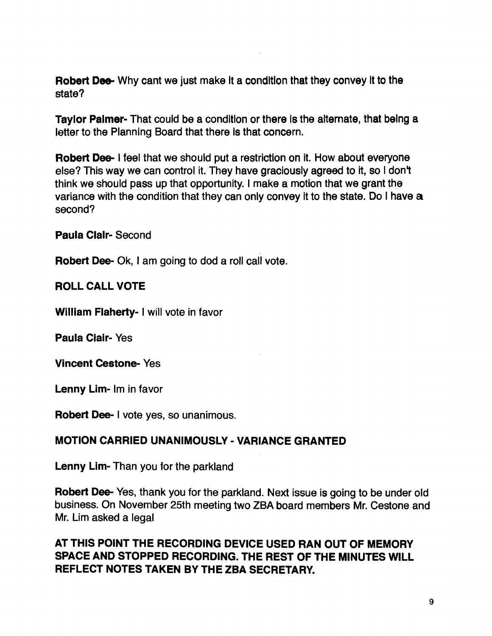Robert Dee- Why cant we just make it a condition that they convey it to the state?

Taylor Palmer- That could be a condition or there is the alternate, that being a letter to the Planning Board that there is that concern.

Robert Dee- I feel that we should put a restriction on it. How about everyone else? This way we can control it. They have graciously agreed to it, so I don't think we should pass up that opportunity. I make a motion that we grant the variance with the condition that they can only convey it to the state. Do I have a second?

Paula Clair- Second

Robert Dee- Ok, I am going to dod a roll call vote.

#### ROLL CALL VOTE

William Flaherty- I will vote in favor

Paula Clair- Yes

Vincent Cestona. Yes

Lenny Lim- Im in favor

Robert Dee- I vote yes, so unanimous.

#### MOTION CARRIED UNANIMOUSLY - VARIANCE GRANTED

Lenny Lim- Than you for the parkland

Robert Dee- Yes, thank you for the parkland. Next issue is going to be under old business. On November 25th meeting two ZBA board members Mr. Cestone and Mr. Lim asked a legal

#### AT THIS POINT THE RECORDING DEVICE USED RAN OUT OF MEMORY SPACE AND STOPPED RECORDING. THE REST OF THE MINUTES WILL REFLECT NOTES TAKEN BY THE ZBA SECRETARY.